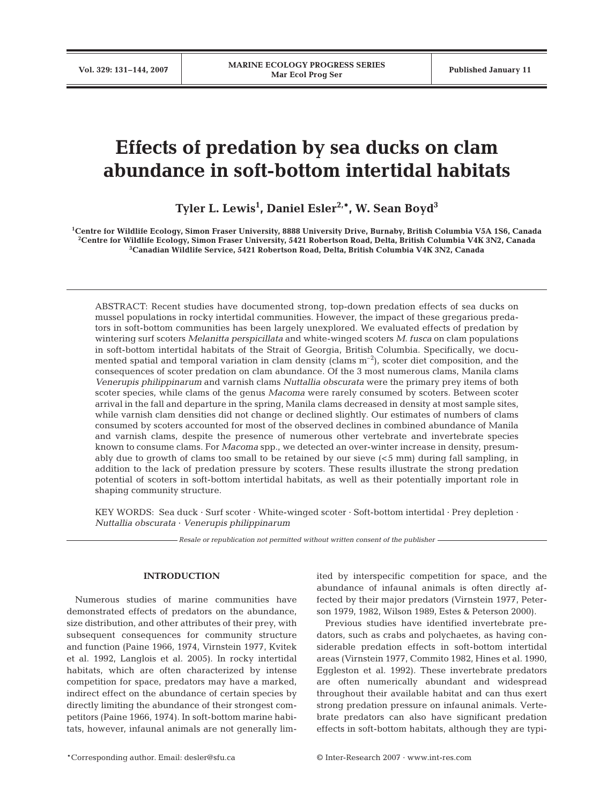# **Effects of predation by sea ducks on clam abundance in soft-bottom intertidal habitats**

**Tyler L. Lewis1 , Daniel Esler2,\*, W. Sean Boyd3**

**1 Centre for Wildlife Ecology, Simon Fraser University, 8888 University Drive, Burnaby, British Columbia V5A 1S6, Canada 2 Centre for Wildlife Ecology, Simon Fraser University, 5421 Robertson Road, Delta, British Columbia V4K 3N2, Canada 3 Canadian Wildlife Service, 5421 Robertson Road, Delta, British Columbia V4K 3N2, Canada**

ABSTRACT: Recent studies have documented strong, top-down predation effects of sea ducks on mussel populations in rocky intertidal communities. However, the impact of these gregarious predators in soft-bottom communities has been largely unexplored. We evaluated effects of predation by wintering surf scoters *Melanitta perspicillata* and white-winged scoters *M. fusca* on clam populations in soft-bottom intertidal habitats of the Strait of Georgia, British Columbia. Specifically, we documented spatial and temporal variation in clam density (clams  $m<sup>-2</sup>$ ), scoter diet composition, and the consequences of scoter predation on clam abundance. Of the 3 most numerous clams, Manila clams *Venerupis philippinarum* and varnish clams *Nuttallia obscurata* were the primary prey items of both scoter species, while clams of the genus *Macoma* were rarely consumed by scoters. Between scoter arrival in the fall and departure in the spring, Manila clams decreased in density at most sample sites, while varnish clam densities did not change or declined slightly. Our estimates of numbers of clams consumed by scoters accounted for most of the observed declines in combined abundance of Manila and varnish clams, despite the presence of numerous other vertebrate and invertebrate species known to consume clams. For *Macoma* spp., we detected an over-winter increase in density, presumably due to growth of clams too small to be retained by our sieve  $( $5 \text{ mm}$ )$  during fall sampling, in addition to the lack of predation pressure by scoters. These results illustrate the strong predation potential of scoters in soft-bottom intertidal habitats, as well as their potentially important role in shaping community structure.

KEY WORDS: Sea duck · Surf scoter · White-winged scoter · Soft-bottom intertidal · Prey depletion · *Nuttallia obscurata* · *Venerupis philippinarum*

*Resale or republication not permitted without written consent of the publisher*

# **INTRODUCTION**

Numerous studies of marine communities have demonstrated effects of predators on the abundance, size distribution, and other attributes of their prey, with subsequent consequences for community structure and function (Paine 1966, 1974, Virnstein 1977, Kvitek et al. 1992, Langlois et al. 2005). In rocky intertidal habitats, which are often characterized by intense competition for space, predators may have a marked, indirect effect on the abundance of certain species by directly limiting the abundance of their strongest competitors (Paine 1966, 1974). In soft-bottom marine habitats, however, infaunal animals are not generally limited by interspecific competition for space, and the abundance of infaunal animals is often directly affected by their major predators (Virnstein 1977, Peterson 1979, 1982, Wilson 1989, Estes & Peterson 2000).

Previous studies have identified invertebrate predators, such as crabs and polychaetes, as having considerable predation effects in soft-bottom intertidal areas (Virnstein 1977, Commito 1982, Hines et al. 1990, Eggleston et al. 1992). These invertebrate predators are often numerically abundant and widespread throughout their available habitat and can thus exert strong predation pressure on infaunal animals. Vertebrate predators can also have significant predation effects in soft-bottom habitats, although they are typi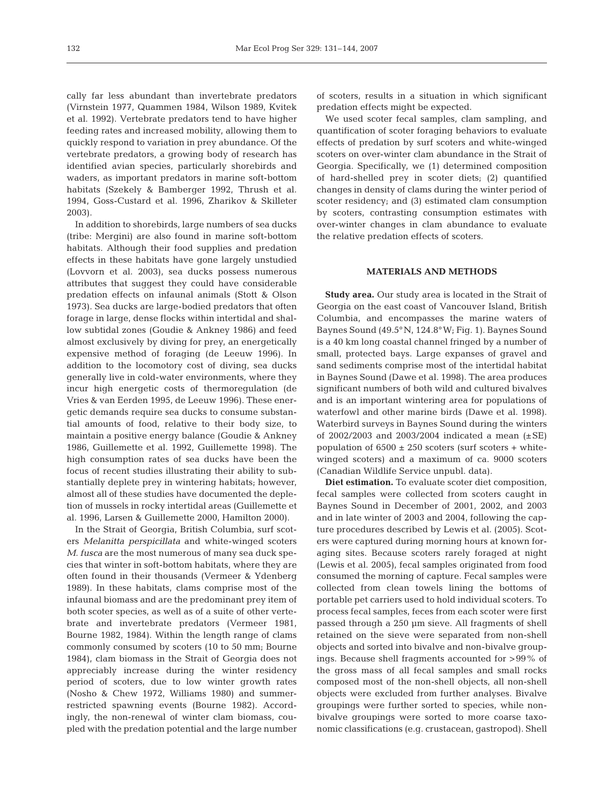cally far less abundant than invertebrate predators (Virnstein 1977, Quammen 1984, Wilson 1989, Kvitek et al. 1992). Vertebrate predators tend to have higher feeding rates and increased mobility, allowing them to quickly respond to variation in prey abundance. Of the vertebrate predators, a growing body of research has identified avian species, particularly shorebirds and waders, as important predators in marine soft-bottom habitats (Szekely & Bamberger 1992, Thrush et al. 1994, Goss-Custard et al. 1996, Zharikov & Skilleter 2003).

In addition to shorebirds, large numbers of sea ducks (tribe: Mergini) are also found in marine soft-bottom habitats. Although their food supplies and predation effects in these habitats have gone largely unstudied (Lovvorn et al. 2003), sea ducks possess numerous attributes that suggest they could have considerable predation effects on infaunal animals (Stott & Olson 1973). Sea ducks are large-bodied predators that often forage in large, dense flocks within intertidal and shallow subtidal zones (Goudie & Ankney 1986) and feed almost exclusively by diving for prey, an energetically expensive method of foraging (de Leeuw 1996). In addition to the locomotory cost of diving, sea ducks generally live in cold-water environments, where they incur high energetic costs of thermoregulation (de Vries & van Eerden 1995, de Leeuw 1996). These energetic demands require sea ducks to consume substantial amounts of food, relative to their body size, to maintain a positive energy balance (Goudie & Ankney 1986, Guillemette et al. 1992, Guillemette 1998). The high consumption rates of sea ducks have been the focus of recent studies illustrating their ability to substantially deplete prey in wintering habitats; however, almost all of these studies have documented the depletion of mussels in rocky intertidal areas (Guillemette et al. 1996, Larsen & Guillemette 2000, Hamilton 2000).

In the Strait of Georgia, British Columbia, surf scoters *Melanitta perspicillata* and white-winged scoters *M. fusca* are the most numerous of many sea duck species that winter in soft-bottom habitats, where they are often found in their thousands (Vermeer & Ydenberg 1989). In these habitats, clams comprise most of the infaunal biomass and are the predominant prey item of both scoter species, as well as of a suite of other vertebrate and invertebrate predators (Vermeer 1981, Bourne 1982, 1984). Within the length range of clams commonly consumed by scoters (10 to 50 mm; Bourne 1984), clam biomass in the Strait of Georgia does not appreciably increase during the winter residency period of scoters, due to low winter growth rates (Nosho & Chew 1972, Williams 1980) and summerrestricted spawning events (Bourne 1982). Accordingly, the non-renewal of winter clam biomass, coupled with the predation potential and the large number of scoters, results in a situation in which significant predation effects might be expected.

We used scoter fecal samples, clam sampling, and quantification of scoter foraging behaviors to evaluate effects of predation by surf scoters and white-winged scoters on over-winter clam abundance in the Strait of Georgia. Specifically, we (1) determined composition of hard-shelled prey in scoter diets; (2) quantified changes in density of clams during the winter period of scoter residency; and (3) estimated clam consumption by scoters, contrasting consumption estimates with over-winter changes in clam abundance to evaluate the relative predation effects of scoters.

# **MATERIALS AND METHODS**

**Study area.** Our study area is located in the Strait of Georgia on the east coast of Vancouver Island, British Columbia, and encompasses the marine waters of Baynes Sound (49.5°N, 124.8°W; Fig. 1). Baynes Sound is a 40 km long coastal channel fringed by a number of small, protected bays. Large expanses of gravel and sand sediments comprise most of the intertidal habitat in Baynes Sound (Dawe et al. 1998). The area produces significant numbers of both wild and cultured bivalves and is an important wintering area for populations of waterfowl and other marine birds (Dawe et al. 1998). Waterbird surveys in Baynes Sound during the winters of 2002/2003 and 2003/2004 indicated a mean  $(\pm SE)$ population of  $6500 \pm 250$  scoters (surf scoters + whitewinged scoters) and a maximum of ca. 9000 scoters (Canadian Wildlife Service unpubl. data).

**Diet estimation.** To evaluate scoter diet composition, fecal samples were collected from scoters caught in Baynes Sound in December of 2001, 2002, and 2003 and in late winter of 2003 and 2004, following the capture procedures described by Lewis et al. (2005). Scoters were captured during morning hours at known foraging sites. Because scoters rarely foraged at night (Lewis et al. 2005), fecal samples originated from food consumed the morning of capture. Fecal samples were collected from clean towels lining the bottoms of portable pet carriers used to hold individual scoters. To process fecal samples, feces from each scoter were first passed through a 250 µm sieve. All fragments of shell retained on the sieve were separated from non-shell objects and sorted into bivalve and non-bivalve groupings. Because shell fragments accounted for >99% of the gross mass of all fecal samples and small rocks composed most of the non-shell objects, all non-shell objects were excluded from further analyses. Bivalve groupings were further sorted to species, while nonbivalve groupings were sorted to more coarse taxonomic classifications (e.g. crustacean, gastropod). Shell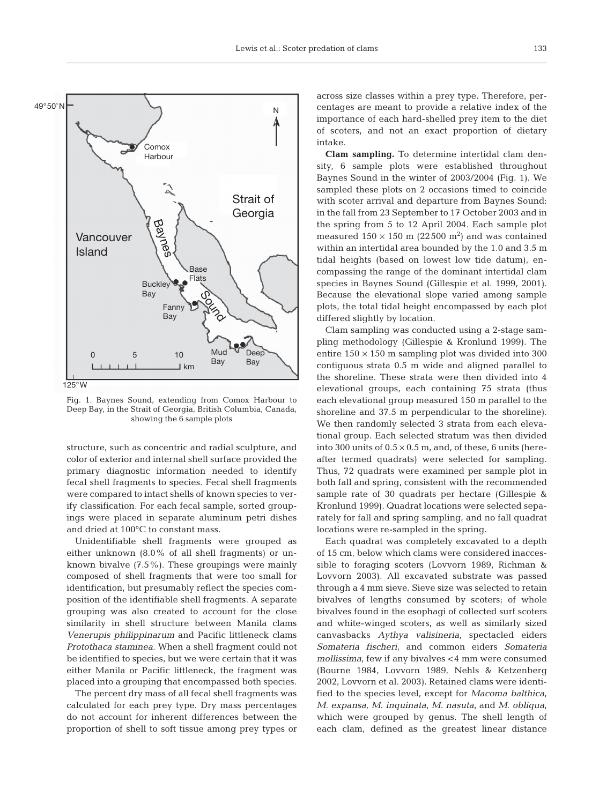

Fig. 1. Baynes Sound, extending from Comox Harbour to Deep Bay, in the Strait of Georgia, British Columbia, Canada, showing the 6 sample plots

structure, such as concentric and radial sculpture, and color of exterior and internal shell surface provided the primary diagnostic information needed to identify fecal shell fragments to species. Fecal shell fragments were compared to intact shells of known species to verify classification. For each fecal sample, sorted groupings were placed in separate aluminum petri dishes and dried at 100°C to constant mass.

Unidentifiable shell fragments were grouped as either unknown (8.0% of all shell fragments) or unknown bivalve (7.5%). These groupings were mainly composed of shell fragments that were too small for identification, but presumably reflect the species composition of the identifiable shell fragments. A separate grouping was also created to account for the close similarity in shell structure between Manila clams *Venerupis philippinarum* and Pacific littleneck clams *Protothaca staminea*. When a shell fragment could not be identified to species, but we were certain that it was either Manila or Pacific littleneck, the fragment was placed into a grouping that encompassed both species.

The percent dry mass of all fecal shell fragments was calculated for each prey type. Dry mass percentages do not account for inherent differences between the proportion of shell to soft tissue among prey types or across size classes within a prey type. Therefore, percentages are meant to provide a relative index of the importance of each hard-shelled prey item to the diet of scoters, and not an exact proportion of dietary intake.

**Clam sampling.** To determine intertidal clam density, 6 sample plots were established throughout Baynes Sound in the winter of 2003/2004 (Fig. 1). We sampled these plots on 2 occasions timed to coincide with scoter arrival and departure from Baynes Sound: in the fall from 23 September to 17 October 2003 and in the spring from 5 to 12 April 2004. Each sample plot measured  $150 \times 150$  m (22500 m<sup>2</sup>) and was contained within an intertidal area bounded by the 1.0 and 3.5 m tidal heights (based on lowest low tide datum), encompassing the range of the dominant intertidal clam species in Baynes Sound (Gillespie et al. 1999, 2001). Because the elevational slope varied among sample plots, the total tidal height encompassed by each plot differed slightly by location.

Clam sampling was conducted using a 2-stage sampling methodology (Gillespie & Kronlund 1999). The entire  $150 \times 150$  m sampling plot was divided into 300 contiguous strata 0.5 m wide and aligned parallel to the shoreline. These strata were then divided into 4 elevational groups, each containing 75 strata (thus each elevational group measured 150 m parallel to the shoreline and 37.5 m perpendicular to the shoreline). We then randomly selected 3 strata from each elevational group. Each selected stratum was then divided into 300 units of  $0.5 \times 0.5$  m, and, of these, 6 units (hereafter termed quadrats) were selected for sampling. Thus, 72 quadrats were examined per sample plot in both fall and spring, consistent with the recommended sample rate of 30 quadrats per hectare (Gillespie & Kronlund 1999). Quadrat locations were selected separately for fall and spring sampling, and no fall quadrat locations were re-sampled in the spring.

Each quadrat was completely excavated to a depth of 15 cm, below which clams were considered inaccessible to foraging scoters (Lovvorn 1989, Richman & Lovvorn 2003). All excavated substrate was passed through a 4 mm sieve. Sieve size was selected to retain bivalves of lengths consumed by scoters; of whole bivalves found in the esophagi of collected surf scoters and white-winged scoters, as well as similarly sized canvasbacks *Aythya valisineria*, spectacled eiders *Somateria fischeri*, and common eiders *Somateria mollissima*, few if any bivalves <4 mm were consumed (Bourne 1984, Lovvorn 1989, Nehls & Ketzenberg 2002, Lovvorn et al. 2003). Retained clams were identified to the species level, except for *Macoma balthica*, *M*. *expansa*, *M*. *inquinata*, *M*. *nasuta*, and *M*. *obliqua*, which were grouped by genus. The shell length of each clam, defined as the greatest linear distance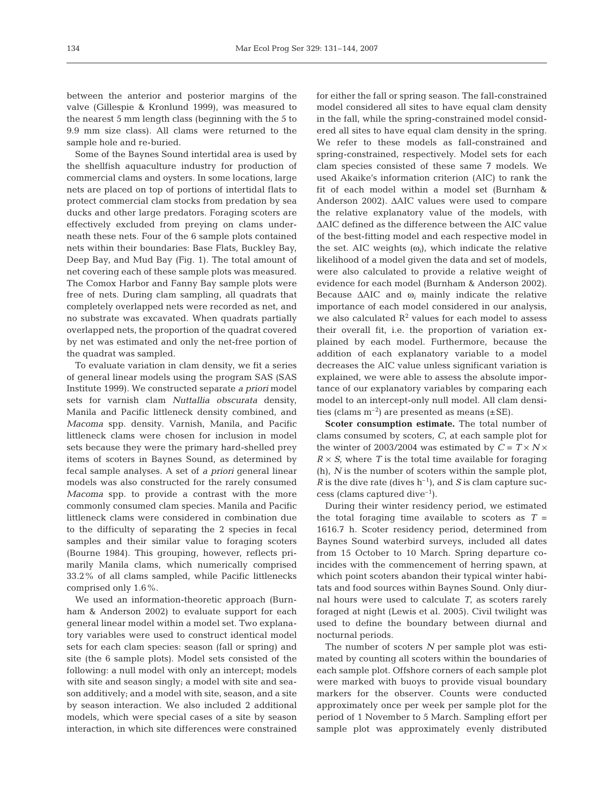between the anterior and posterior margins of the valve (Gillespie & Kronlund 1999), was measured to the nearest 5 mm length class (beginning with the 5 to 9.9 mm size class). All clams were returned to the sample hole and re-buried.

Some of the Baynes Sound intertidal area is used by the shellfish aquaculture industry for production of commercial clams and oysters. In some locations, large nets are placed on top of portions of intertidal flats to protect commercial clam stocks from predation by sea ducks and other large predators. Foraging scoters are effectively excluded from preying on clams underneath these nets. Four of the 6 sample plots contained nets within their boundaries: Base Flats, Buckley Bay, Deep Bay, and Mud Bay (Fig. 1). The total amount of net covering each of these sample plots was measured. The Comox Harbor and Fanny Bay sample plots were free of nets. During clam sampling, all quadrats that completely overlapped nets were recorded as net, and no substrate was excavated. When quadrats partially overlapped nets, the proportion of the quadrat covered by net was estimated and only the net-free portion of the quadrat was sampled.

To evaluate variation in clam density, we fit a series of general linear models using the program SAS (SAS Institute 1999). We constructed separate *a priori* model sets for varnish clam *Nuttallia obscurata* density, Manila and Pacific littleneck density combined, and *Macoma* spp. density. Varnish, Manila, and Pacific littleneck clams were chosen for inclusion in model sets because they were the primary hard-shelled prey items of scoters in Baynes Sound, as determined by fecal sample analyses. A set of *a priori* general linear models was also constructed for the rarely consumed *Macoma* spp. to provide a contrast with the more commonly consumed clam species. Manila and Pacific littleneck clams were considered in combination due to the difficulty of separating the 2 species in fecal samples and their similar value to foraging scoters (Bourne 1984). This grouping, however, reflects primarily Manila clams, which numerically comprised 33.2% of all clams sampled, while Pacific littlenecks comprised only 1.6%.

We used an information-theoretic approach (Burnham & Anderson 2002) to evaluate support for each general linear model within a model set. Two explanatory variables were used to construct identical model sets for each clam species: season (fall or spring) and site (the 6 sample plots). Model sets consisted of the following: a null model with only an intercept; models with site and season singly; a model with site and season additively; and a model with site, season, and a site by season interaction. We also included 2 additional models, which were special cases of a site by season interaction, in which site differences were constrained

for either the fall or spring season. The fall-constrained model considered all sites to have equal clam density in the fall, while the spring-constrained model considered all sites to have equal clam density in the spring. We refer to these models as fall-constrained and spring-constrained, respectively. Model sets for each clam species consisted of these same 7 models. We used Akaike's information criterion (AIC) to rank the fit of each model within a model set (Burnham & Anderson 2002). ΔAIC values were used to compare the relative explanatory value of the models, with ΔAIC defined as the difference between the AIC value of the best-fitting model and each respective model in the set. AIC weights  $(\omega_i)$ , which indicate the relative likelihood of a model given the data and set of models, were also calculated to provide a relative weight of evidence for each model (Burnham & Anderson 2002). Because  $\Delta AIC$  and  $\omega_i$  mainly indicate the relative importance of each model considered in our analysis, we also calculated  $R^2$  values for each model to assess their overall fit, i.e. the proportion of variation explained by each model. Furthermore, because the addition of each explanatory variable to a model decreases the AIC value unless significant variation is explained, we were able to assess the absolute importance of our explanatory variables by comparing each model to an intercept-only null model. All clam densities (clams  $m^{-2}$ ) are presented as means ( $\pm$ SE).

Scoter consumption estimate. The total number of clams consumed by scoters, *C*, at each sample plot for the winter of 2003/2004 was estimated by  $C = T \times N \times$  $R \times S$ , where *T* is the total time available for foraging (h), *N* is the number of scoters within the sample plot, *R* is the dive rate (dives  $h^{-1}$ ), and *S* is clam capture success (clams captured dive<sup>-1</sup>).

During their winter residency period, we estimated the total foraging time available to scoters as  $T =$ 1616.7 h. Scoter residency period, determined from Baynes Sound waterbird surveys, included all dates from 15 October to 10 March. Spring departure coincides with the commencement of herring spawn, at which point scoters abandon their typical winter habitats and food sources within Baynes Sound. Only diurnal hours were used to calculate *T*, as scoters rarely foraged at night (Lewis et al. 2005). Civil twilight was used to define the boundary between diurnal and nocturnal periods.

The number of scoters *N* per sample plot was estimated by counting all scoters within the boundaries of each sample plot. Offshore corners of each sample plot were marked with buoys to provide visual boundary markers for the observer. Counts were conducted approximately once per week per sample plot for the period of 1 November to 5 March. Sampling effort per sample plot was approximately evenly distributed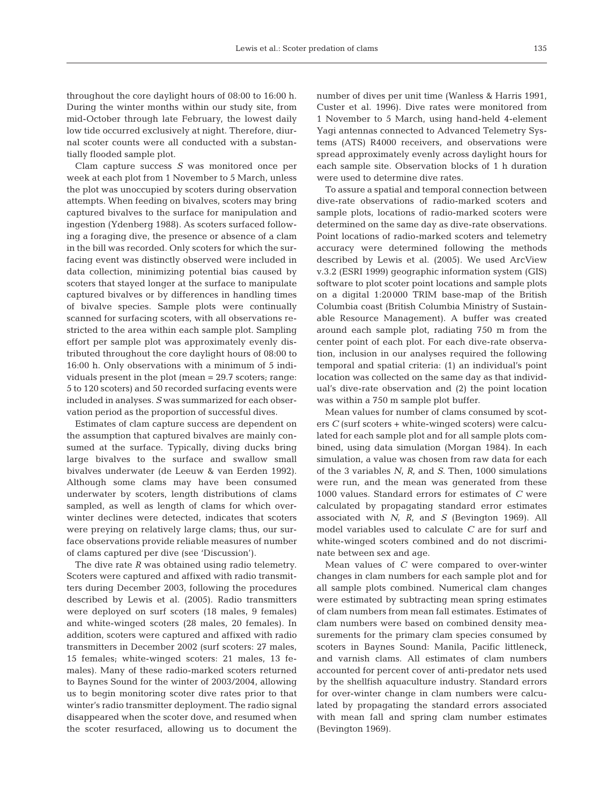throughout the core daylight hours of 08:00 to 16:00 h. During the winter months within our study site, from mid-October through late February, the lowest daily low tide occurred exclusively at night. Therefore, diurnal scoter counts were all conducted with a substantially flooded sample plot.

Clam capture success *S* was monitored once per week at each plot from 1 November to 5 March, unless the plot was unoccupied by scoters during observation attempts. When feeding on bivalves, scoters may bring captured bivalves to the surface for manipulation and ingestion (Ydenberg 1988). As scoters surfaced following a foraging dive, the presence or absence of a clam in the bill was recorded. Only scoters for which the surfacing event was distinctly observed were included in data collection, minimizing potential bias caused by scoters that stayed longer at the surface to manipulate captured bivalves or by differences in handling times of bivalve species. Sample plots were continually scanned for surfacing scoters, with all observations restricted to the area within each sample plot. Sampling effort per sample plot was approximately evenly distributed throughout the core daylight hours of 08:00 to 16:00 h. Only observations with a minimum of 5 individuals present in the plot (mean = 29.7 scoters; range: 5 to 120 scoters) and 50 recorded surfacing events were included in analyses. *S* was summarized for each observation period as the proportion of successful dives.

Estimates of clam capture success are dependent on the assumption that captured bivalves are mainly consumed at the surface. Typically, diving ducks bring large bivalves to the surface and swallow small bivalves underwater (de Leeuw & van Eerden 1992). Although some clams may have been consumed underwater by scoters, length distributions of clams sampled, as well as length of clams for which overwinter declines were detected, indicates that scoters were preying on relatively large clams; thus, our surface observations provide reliable measures of number of clams captured per dive (see 'Discussion').

The dive rate *R* was obtained using radio telemetry. Scoters were captured and affixed with radio transmitters during December 2003, following the procedures described by Lewis et al. (2005). Radio transmitters were deployed on surf scoters (18 males, 9 females) and white-winged scoters (28 males, 20 females). In addition, scoters were captured and affixed with radio transmitters in December 2002 (surf scoters: 27 males, 15 females; white-winged scoters: 21 males, 13 females). Many of these radio-marked scoters returned to Baynes Sound for the winter of 2003/2004, allowing us to begin monitoring scoter dive rates prior to that winter's radio transmitter deployment. The radio signal disappeared when the scoter dove, and resumed when the scoter resurfaced, allowing us to document the

number of dives per unit time (Wanless & Harris 1991, Custer et al. 1996). Dive rates were monitored from 1 November to 5 March, using hand-held 4-element Yagi antennas connected to Advanced Telemetry Systems (ATS) R4000 receivers, and observations were spread approximately evenly across daylight hours for each sample site. Observation blocks of 1 h duration were used to determine dive rates.

To assure a spatial and temporal connection between dive-rate observations of radio-marked scoters and sample plots, locations of radio-marked scoters were determined on the same day as dive-rate observations. Point locations of radio-marked scoters and telemetry accuracy were determined following the methods described by Lewis et al. (2005). We used ArcView v.3.2 (ESRI 1999) geographic information system (GIS) software to plot scoter point locations and sample plots on a digital 1:20000 TRIM base-map of the British Columbia coast (British Columbia Ministry of Sustainable Resource Management). A buffer was created around each sample plot, radiating 750 m from the center point of each plot. For each dive-rate observation, inclusion in our analyses required the following temporal and spatial criteria: (1) an individual's point location was collected on the same day as that individual's dive-rate observation and (2) the point location was within a 750 m sample plot buffer.

Mean values for number of clams consumed by scoters *C* (surf scoters + white-winged scoters) were calculated for each sample plot and for all sample plots combined, using data simulation (Morgan 1984). In each simulation, a value was chosen from raw data for each of the 3 variables *N*, *R*, and *S*. Then, 1000 simulations were run, and the mean was generated from these 1000 values. Standard errors for estimates of *C* were calculated by propagating standard error estimates associated with *N*, *R*, and *S* (Bevington 1969). All model variables used to calculate *C* are for surf and white-winged scoters combined and do not discriminate between sex and age.

Mean values of *C* were compared to over-winter changes in clam numbers for each sample plot and for all sample plots combined. Numerical clam changes were estimated by subtracting mean spring estimates of clam numbers from mean fall estimates. Estimates of clam numbers were based on combined density measurements for the primary clam species consumed by scoters in Baynes Sound: Manila, Pacific littleneck, and varnish clams. All estimates of clam numbers accounted for percent cover of anti-predator nets used by the shellfish aquaculture industry. Standard errors for over-winter change in clam numbers were calculated by propagating the standard errors associated with mean fall and spring clam number estimates (Bevington 1969).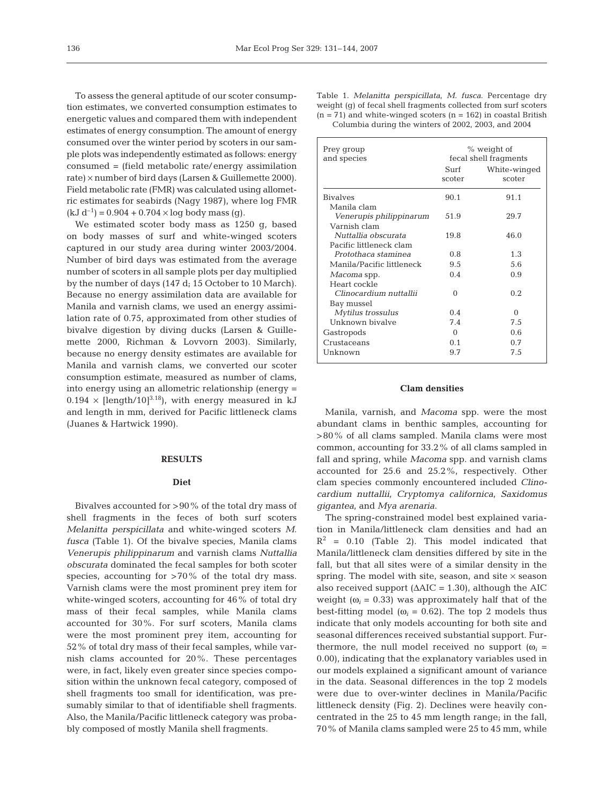To assess the general aptitude of our scoter consumption estimates, we converted consumption estimates to energetic values and compared them with independent estimates of energy consumption. The amount of energy consumed over the winter period by scoters in our sample plots was independently estimated as follows: energy consumed = (field metabolic rate/energy assimilation rate) × number of bird days (Larsen & Guillemette 2000). Field metabolic rate (FMR) was calculated using allometric estimates for seabirds (Nagy 1987), where log FMR  $(kJ d^{-1}) = 0.904 + 0.704 \times \log \log \log \log$ .

We estimated scoter body mass as 1250 g, based on body masses of surf and white-winged scoters captured in our study area during winter 2003/2004. Number of bird days was estimated from the average number of scoters in all sample plots per day multiplied by the number of days (147 d; 15 October to 10 March). Because no energy assimilation data are available for Manila and varnish clams, we used an energy assimilation rate of 0.75, approximated from other studies of bivalve digestion by diving ducks (Larsen & Guillemette 2000, Richman & Lovvorn 2003). Similarly, because no energy density estimates are available for Manila and varnish clams, we converted our scoter consumption estimate, measured as number of clams, into energy using an allometric relationship (energy =  $0.194 \times$  [length/10]<sup>3.18</sup>], with energy measured in kJ and length in mm, derived for Pacific littleneck clams (Juanes & Hartwick 1990).

## **RESULTS**

## **Diet**

Bivalves accounted for >90% of the total dry mass of shell fragments in the feces of both surf scoters *Melanitta perspicillata* and white-winged scoters *M. fusca* (Table 1). Of the bivalve species, Manila clams *Venerupis philippinarum* and varnish clams *Nuttallia obscurata* dominated the fecal samples for both scoter species, accounting for  $>70\%$  of the total dry mass. Varnish clams were the most prominent prey item for white-winged scoters, accounting for 46% of total dry mass of their fecal samples, while Manila clams accounted for 30%. For surf scoters, Manila clams were the most prominent prey item, accounting for 52% of total dry mass of their fecal samples, while varnish clams accounted for 20%. These percentages were, in fact, likely even greater since species composition within the unknown fecal category, composed of shell fragments too small for identification, was presumably similar to that of identifiable shell fragments. Also, the Manila/Pacific littleneck category was probably composed of mostly Manila shell fragments.

Table 1. *Melanitta perspicillata*, *M. fusca*. Percentage dry weight (g) of fecal shell fragments collected from surf scoters  $(n = 71)$  and white-winged scoters  $(n = 162)$  in coastal British Columbia during the winters of 2002, 2003, and 2004

| Prey group<br>and species | % weight of<br>fecal shell fragments |              |  |
|---------------------------|--------------------------------------|--------------|--|
|                           | Surf                                 | White-winged |  |
|                           | scoter                               | scoter       |  |
| <b>Bivalves</b>           | 90.1                                 | 91.1         |  |
| Manila clam               |                                      |              |  |
| Venerupis philippinarum   | 51.9                                 | 29.7         |  |
| Varnish clam              |                                      |              |  |
| Nuttallia obscurata       | 19.8                                 | 46.0         |  |
| Pacific littleneck clam   |                                      |              |  |
| Protothaca staminea       | 0.8                                  | 1.3          |  |
| Manila/Pacific littleneck | 9.5                                  | 5.6          |  |
| Macoma spp.               | 0.4                                  | 0.9          |  |
| Heart cockle              |                                      |              |  |
| Clinocardium nuttallii    | 0                                    | 0.2.         |  |
| Bay mussel                |                                      |              |  |
| Mytilus trossulus         | 0.4                                  | $\Omega$     |  |
| Unknown bivalve           | 7.4                                  | 7.5          |  |
| Gastropods                | $\Omega$                             | 0.6          |  |
| Crustaceans               | 0.1                                  | 0.7          |  |
| Unknown                   | 9.7                                  | 7.5          |  |

#### **Clam densities**

Manila, varnish, and *Macoma* spp. were the most abundant clams in benthic samples, accounting for >80% of all clams sampled. Manila clams were most common, accounting for 33.2% of all clams sampled in fall and spring, while *Macoma* spp. and varnish clams accounted for 25.6 and 25.2%, respectively. Other clam species commonly encountered included *Clinocardium nuttallii*, *Cryptomya californica*, *Saxidomus gigantea*, and *Mya arenaria*.

The spring-constrained model best explained variation in Manila/littleneck clam densities and had an  $R^2$  = 0.10 (Table 2). This model indicated that Manila/littleneck clam densities differed by site in the fall, but that all sites were of a similar density in the spring. The model with site, season, and site  $\times$  season also received support  $(AAIC = 1.30)$ , although the AIC weight ( $\omega_i$  = 0.33) was approximately half that of the best-fitting model ( $\omega_i$  = 0.62). The top 2 models thus indicate that only models accounting for both site and seasonal differences received substantial support. Furthermore, the null model received no support  $(\omega_i =$ 0.00), indicating that the explanatory variables used in our models explained a significant amount of variance in the data. Seasonal differences in the top 2 models were due to over-winter declines in Manila/Pacific littleneck density (Fig. 2). Declines were heavily concentrated in the 25 to 45 mm length range; in the fall, 70% of Manila clams sampled were 25 to 45 mm, while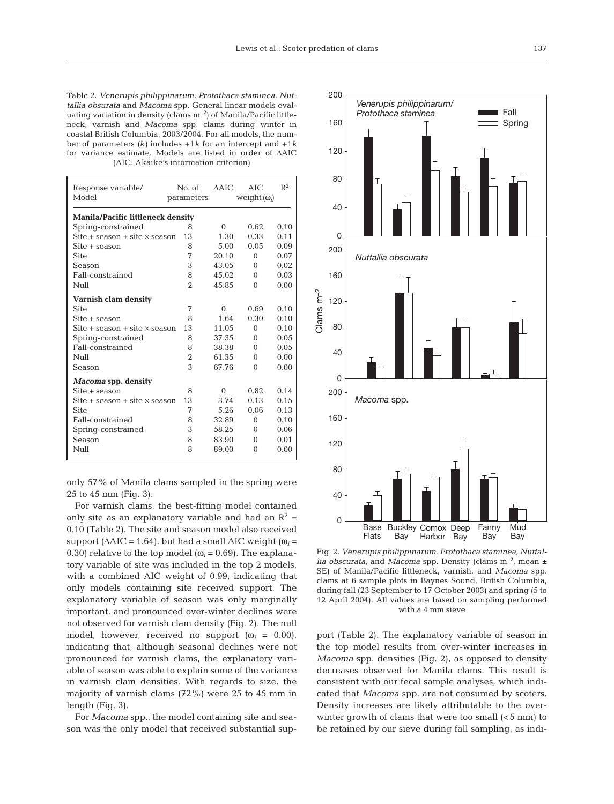Table 2. *Venerupis philippinarum, Protothaca staminea, Nuttallia obsurata* and *Macoma* spp. General linear models evaluating variation in density (clams  $m^{-2}$ ) of Manila/Pacific littleneck, varnish and *Macoma* spp. clams during winter in coastal British Columbia, 2003/2004. For all models, the number of parameters *(k)* includes +1*k* for an intercept and +1*k* for variance estimate. Models are listed in order of ΔAIC (AIC: Akaike's information criterion)

| Response variable/<br>Model              | No. of<br>parameters | $\triangle$ AIC | AIC<br>weight $(\omega_i)$ | $R^2$ |  |  |  |
|------------------------------------------|----------------------|-----------------|----------------------------|-------|--|--|--|
| Manila/Pacific littleneck density        |                      |                 |                            |       |  |  |  |
| Spring-constrained                       | 8                    | $\Omega$        | 0.62                       | 0.10  |  |  |  |
| Site $+$ season $+$ site $\times$ season | 13                   | 1.30            | 0.33                       | 0.11  |  |  |  |
| Site + season                            | 8                    | 5.00            | 0.05                       | 0.09  |  |  |  |
| <b>Site</b>                              | 7                    | 20.10           | $\Omega$                   | 0.07  |  |  |  |
| Season                                   | 3                    | 43.05           | $\Omega$                   | 0.02  |  |  |  |
| Fall-constrained                         | 8                    | 45.02           | $\Omega$                   | 0.03  |  |  |  |
| N <sub>U</sub>                           | $\mathcal{D}$        | 45.85           | $\Omega$                   | 0.00  |  |  |  |
| Varnish clam density                     |                      |                 |                            |       |  |  |  |
| <b>Site</b>                              | 7                    | $\Omega$        | 0.69                       | 0.10  |  |  |  |
| Site + season                            | 8                    | 1.64            | 0.30                       | 0.10  |  |  |  |
| Site $+$ season $+$ site $\times$ season | 13                   | 11.05           | $\Omega$                   | 0.10  |  |  |  |
| Spring-constrained                       | 8                    | 37.35           | $\Omega$                   | 0.05  |  |  |  |
| Fall-constrained                         | 8                    | 38.38           | $\Omega$                   | 0.05  |  |  |  |
| Null                                     | $\overline{2}$       | 61.35           | $\Omega$                   | 0.00  |  |  |  |
| Season                                   | 3                    | 67.76           | $\Omega$                   | 0.00  |  |  |  |
| <i>Macoma</i> spp. density               |                      |                 |                            |       |  |  |  |
| Site + season                            | 8                    | $\Omega$        | 0.82                       | 0.14  |  |  |  |
| Site $+$ season $+$ site $\times$ season | 13                   | 3.74            | 0.13                       | 0.15  |  |  |  |
| <b>Site</b>                              | 7                    | 5.26            | 0.06                       | 0.13  |  |  |  |
| Fall-constrained                         | 8                    | 32.89           | $\Omega$                   | 0.10  |  |  |  |
| Spring-constrained                       | 3                    | 58.25           | 0                          | 0.06  |  |  |  |
| Season                                   | 8                    | 83.90           | $\Omega$                   | 0.01  |  |  |  |
| Null                                     | 8                    | 89.00           | $\Omega$                   | 0.00  |  |  |  |

only 57% of Manila clams sampled in the spring were 25 to 45 mm (Fig. 3).

For varnish clams, the best-fitting model contained only site as an explanatory variable and had an  $\mathbb{R}^2$  = 0.10 (Table 2). The site and season model also received support ( $\triangle AIC = 1.64$ ), but had a small AIC weight ( $\omega_i =$ 0.30) relative to the top model  $(\omega_i = 0.69)$ . The explanatory variable of site was included in the top 2 models, with a combined AIC weight of 0.99, indicating that only models containing site received support. The explanatory variable of season was only marginally important, and pronounced over-winter declines were not observed for varnish clam density (Fig. 2). The null model, however, received no support  $(\omega_i = 0.00)$ , indicating that, although seasonal declines were not pronounced for varnish clams, the explanatory variable of season was able to explain some of the variance in varnish clam densities. With regards to size, the majority of varnish clams (72%) were 25 to 45 mm in length (Fig. 3).

For *Macoma* spp., the model containing site and season was the only model that received substantial sup-



Fig. 2. *Venerupis philippinarum*, *Protothaca staminea, Nuttallia obscurata*, and *Macoma* spp. Density (clams  $m^{-2}$ , mean  $\pm$ SE) of Manila/Pacific littleneck, varnish, and *Macoma* spp. clams at 6 sample plots in Baynes Sound, British Columbia, during fall (23 September to 17 October 2003) and spring (5 to 12 April 2004). All values are based on sampling performed with a 4 mm sieve

port (Table 2). The explanatory variable of season in the top model results from over-winter increases in *Macoma* spp. densities (Fig. 2), as opposed to density decreases observed for Manila clams. This result is consistent with our fecal sample analyses, which indicated that *Macoma* spp. are not consumed by scoters. Density increases are likely attributable to the overwinter growth of clams that were too small  $(<5$  mm) to be retained by our sieve during fall sampling, as indi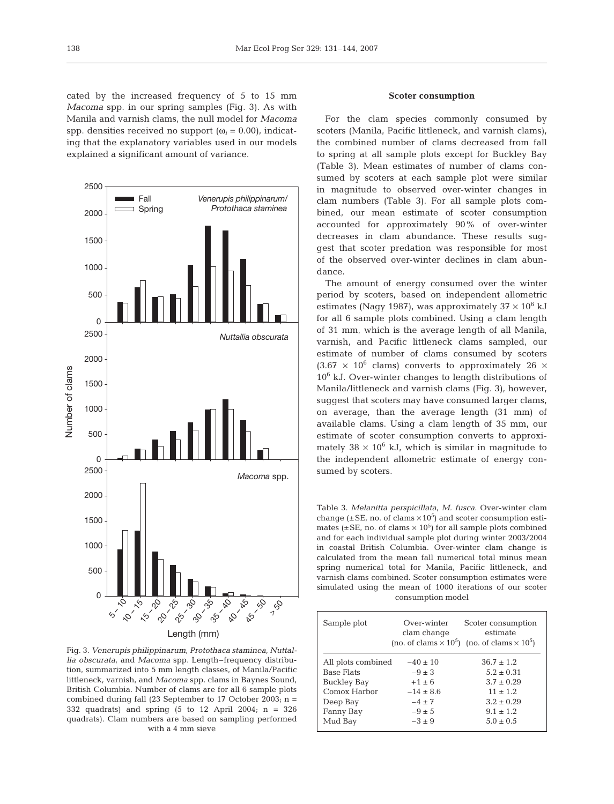cated by the increased frequency of 5 to 15 mm *Macoma* spp. in our spring samples (Fig. 3). As with Manila and varnish clams, the null model for *Macoma* spp. densities received no support  $(\omega_i = 0.00)$ , indicating that the explanatory variables used in our models explained a significant amount of variance.



Fig. 3. *Venerupis philippinarum*, *Protothaca staminea, Nuttallia obscurata*, and *Macoma* spp. Length–frequency distribution, summarized into 5 mm length classes, of Manila/Pacific littleneck, varnish, and *Macoma* spp. clams in Baynes Sound, British Columbia. Number of clams are for all 6 sample plots combined during fall (23 September to 17 October 2003;  $n =$ 332 quadrats) and spring  $(5 \text{ to } 12 \text{ April } 2004; \text{ n} = 326)$ quadrats). Clam numbers are based on sampling performed with a 4 mm sieve

# **Scoter consumption**

For the clam species commonly consumed by scoters (Manila, Pacific littleneck, and varnish clams), the combined number of clams decreased from fall to spring at all sample plots except for Buckley Bay (Table 3). Mean estimates of number of clams consumed by scoters at each sample plot were similar in magnitude to observed over-winter changes in clam numbers (Table 3). For all sample plots combined, our mean estimate of scoter consumption accounted for approximately 90% of over-winter decreases in clam abundance. These results suggest that scoter predation was responsible for most of the observed over-winter declines in clam abundance.

The amount of energy consumed over the winter period by scoters, based on independent allometric estimates (Nagy 1987), was approximately  $37 \times 10^6$  kJ for all 6 sample plots combined. Using a clam length of 31 mm, which is the average length of all Manila, varnish, and Pacific littleneck clams sampled, our estimate of number of clams consumed by scoters  $(3.67 \times 10^6 \text{ clams})$  converts to approximately 26  $\times$  $10<sup>6</sup>$  kJ. Over-winter changes to length distributions of Manila/littleneck and varnish clams (Fig. 3), however, suggest that scoters may have consumed larger clams, on average, than the average length (31 mm) of available clams. Using a clam length of 35 mm, our estimate of scoter consumption converts to approximately  $38 \times 10^6$  kJ, which is similar in magnitude to the independent allometric estimate of energy consumed by scoters.

Table 3. *Melanitta perspicillata*, *M. fusca*. Over-winter clam change ( $\pm$ SE, no. of clams  $\times$ 10<sup>5</sup>) and scoter consumption estimates ( $\pm$ SE, no. of clams  $\times$  10<sup>5</sup>) for all sample plots combined and for each individual sample plot during winter 2003/2004 in coastal British Columbia. Over-winter clam change is calculated from the mean fall numerical total minus mean spring numerical total for Manila, Pacific littleneck, and varnish clams combined. Scoter consumption estimates were simulated using the mean of 1000 iterations of our scoter consumption model

| Sample plot        | Over-winter<br>clam change<br>(no. of clams $\times$ 10 <sup>5</sup> ) | Scoter consumption<br>estimate<br>(no. of clams $\times$ 10 <sup>5</sup> ) |
|--------------------|------------------------------------------------------------------------|----------------------------------------------------------------------------|
| All plots combined | $-40 \pm 10$                                                           | $36.7 \pm 1.2$                                                             |
| <b>Base Flats</b>  | $-9 \pm 3$                                                             | $5.2 \pm 0.31$                                                             |
| <b>Buckley Bay</b> | $+1 \pm 6$                                                             | $3.7 \pm 0.29$                                                             |
| Comox Harbor       | $-14 \pm 8.6$                                                          | $11 \pm 1.2$                                                               |
| Deep Bay           | $-4 \pm 7$                                                             | $3.2 \pm 0.29$                                                             |
| Fanny Bay          | $-9 \pm 5$                                                             | $9.1 \pm 1.2$                                                              |
| Mud Bay            | $-3 \pm 9$                                                             | $5.0 \pm 0.5$                                                              |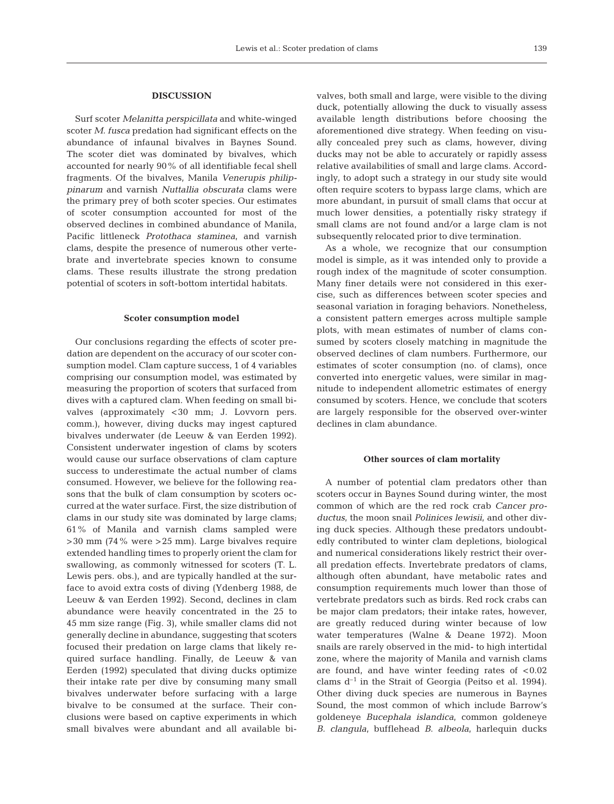## **DISCUSSION**

Surf scoter *Melanitta perspicillata* and white-winged scoter *M. fusca* predation had significant effects on the abundance of infaunal bivalves in Baynes Sound. The scoter diet was dominated by bivalves, which accounted for nearly 90% of all identifiable fecal shell fragments. Of the bivalves, Manila *Venerupis philippinarum* and varnish *Nuttallia obscurata* clams were the primary prey of both scoter species. Our estimates of scoter consumption accounted for most of the observed declines in combined abundance of Manila, Pacific littleneck *Protothaca staminea*, and varnish clams, despite the presence of numerous other vertebrate and invertebrate species known to consume clams. These results illustrate the strong predation potential of scoters in soft-bottom intertidal habitats.

## **Scoter consumption model**

Our conclusions regarding the effects of scoter predation are dependent on the accuracy of our scoter consumption model. Clam capture success, 1 of 4 variables comprising our consumption model, was estimated by measuring the proportion of scoters that surfaced from dives with a captured clam. When feeding on small bivalves (approximately <30 mm; J. Lovvorn pers. comm.), however, diving ducks may ingest captured bivalves underwater (de Leeuw & van Eerden 1992). Consistent underwater ingestion of clams by scoters would cause our surface observations of clam capture success to underestimate the actual number of clams consumed. However, we believe for the following reasons that the bulk of clam consumption by scoters occurred at the water surface. First, the size distribution of clams in our study site was dominated by large clams; 61% of Manila and varnish clams sampled were  $>30$  mm (74% were  $>25$  mm). Large bivalves require extended handling times to properly orient the clam for swallowing, as commonly witnessed for scoters (T. L. Lewis pers. obs.), and are typically handled at the surface to avoid extra costs of diving (Ydenberg 1988, de Leeuw & van Eerden 1992). Second, declines in clam abundance were heavily concentrated in the 25 to 45 mm size range (Fig. 3), while smaller clams did not generally decline in abundance, suggesting that scoters focused their predation on large clams that likely required surface handling. Finally, de Leeuw & van Eerden (1992) speculated that diving ducks optimize their intake rate per dive by consuming many small bivalves underwater before surfacing with a large bivalve to be consumed at the surface. Their conclusions were based on captive experiments in which small bivalves were abundant and all available bivalves, both small and large, were visible to the diving duck, potentially allowing the duck to visually assess available length distributions before choosing the aforementioned dive strategy. When feeding on visually concealed prey such as clams, however, diving ducks may not be able to accurately or rapidly assess relative availabilities of small and large clams. Accordingly, to adopt such a strategy in our study site would often require scoters to bypass large clams, which are more abundant, in pursuit of small clams that occur at much lower densities, a potentially risky strategy if small clams are not found and/or a large clam is not subsequently relocated prior to dive termination.

As a whole, we recognize that our consumption model is simple, as it was intended only to provide a rough index of the magnitude of scoter consumption. Many finer details were not considered in this exercise, such as differences between scoter species and seasonal variation in foraging behaviors. Nonetheless, a consistent pattern emerges across multiple sample plots, with mean estimates of number of clams consumed by scoters closely matching in magnitude the observed declines of clam numbers. Furthermore, our estimates of scoter consumption (no. of clams), once converted into energetic values, were similar in magnitude to independent allometric estimates of energy consumed by scoters. Hence, we conclude that scoters are largely responsible for the observed over-winter declines in clam abundance.

#### **Other sources of clam mortality**

A number of potential clam predators other than scoters occur in Baynes Sound during winter, the most common of which are the red rock crab *Cancer productus*, the moon snail *Polinices lewisii*, and other diving duck species. Although these predators undoubtedly contributed to winter clam depletions, biological and numerical considerations likely restrict their overall predation effects. Invertebrate predators of clams, although often abundant, have metabolic rates and consumption requirements much lower than those of vertebrate predators such as birds. Red rock crabs can be major clam predators; their intake rates, however, are greatly reduced during winter because of low water temperatures (Walne & Deane 1972). Moon snails are rarely observed in the mid- to high intertidal zone, where the majority of Manila and varnish clams are found, and have winter feeding rates of  $< 0.02$ clams  $d^{-1}$  in the Strait of Georgia (Peitso et al. 1994). Other diving duck species are numerous in Baynes Sound, the most common of which include Barrow's goldeneye *Bucephala islandica*, common goldeneye *B. clangula*, bufflehead *B*. *albeola*, harlequin ducks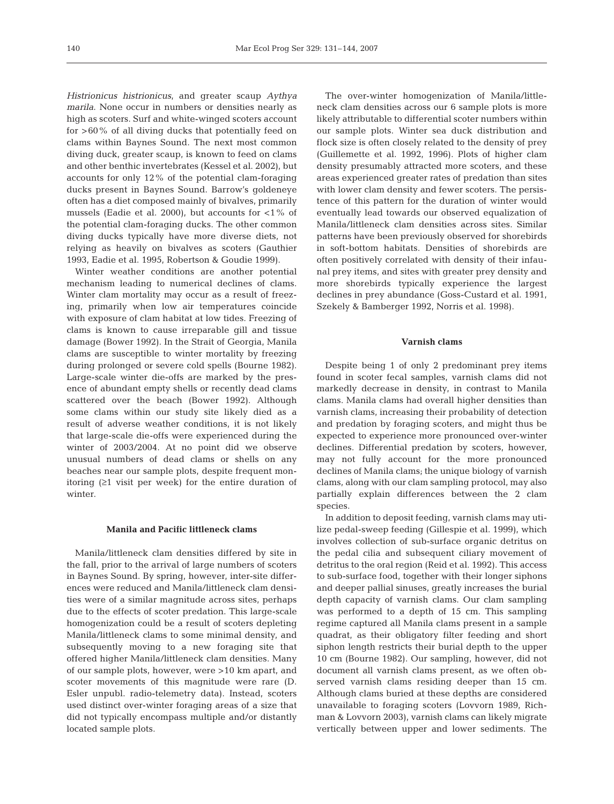*Histrionicus histrionicus*, and greater scaup *Aythya marila*. None occur in numbers or densities nearly as high as scoters. Surf and white-winged scoters account for >60% of all diving ducks that potentially feed on clams within Baynes Sound. The next most common diving duck, greater scaup, is known to feed on clams and other benthic invertebrates (Kessel et al. 2002), but accounts for only 12% of the potential clam-foraging ducks present in Baynes Sound. Barrow's goldeneye often has a diet composed mainly of bivalves, primarily mussels (Eadie et al. 2000), but accounts for  $\langle 1\%$  of the potential clam-foraging ducks. The other common diving ducks typically have more diverse diets, not relying as heavily on bivalves as scoters (Gauthier 1993, Eadie et al. 1995, Robertson & Goudie 1999).

Winter weather conditions are another potential mechanism leading to numerical declines of clams. Winter clam mortality may occur as a result of freezing, primarily when low air temperatures coincide with exposure of clam habitat at low tides. Freezing of clams is known to cause irreparable gill and tissue damage (Bower 1992). In the Strait of Georgia, Manila clams are susceptible to winter mortality by freezing during prolonged or severe cold spells (Bourne 1982). Large-scale winter die-offs are marked by the presence of abundant empty shells or recently dead clams scattered over the beach (Bower 1992). Although some clams within our study site likely died as a result of adverse weather conditions, it is not likely that large-scale die-offs were experienced during the winter of 2003/2004. At no point did we observe unusual numbers of dead clams or shells on any beaches near our sample plots, despite frequent monitoring (≥1 visit per week) for the entire duration of winter.

#### **Manila and Pacific littleneck clams**

Manila/littleneck clam densities differed by site in the fall, prior to the arrival of large numbers of scoters in Baynes Sound. By spring, however, inter-site differences were reduced and Manila/littleneck clam densities were of a similar magnitude across sites, perhaps due to the effects of scoter predation. This large-scale homogenization could be a result of scoters depleting Manila/littleneck clams to some minimal density, and subsequently moving to a new foraging site that offered higher Manila/littleneck clam densities. Many of our sample plots, however, were >10 km apart, and scoter movements of this magnitude were rare (D. Esler unpubl. radio-telemetry data). Instead, scoters used distinct over-winter foraging areas of a size that did not typically encompass multiple and/or distantly located sample plots.

The over-winter homogenization of Manila/littleneck clam densities across our 6 sample plots is more likely attributable to differential scoter numbers within our sample plots. Winter sea duck distribution and flock size is often closely related to the density of prey (Guillemette et al. 1992, 1996). Plots of higher clam density presumably attracted more scoters, and these areas experienced greater rates of predation than sites with lower clam density and fewer scoters. The persistence of this pattern for the duration of winter would eventually lead towards our observed equalization of Manila/littleneck clam densities across sites. Similar patterns have been previously observed for shorebirds in soft-bottom habitats. Densities of shorebirds are often positively correlated with density of their infaunal prey items, and sites with greater prey density and more shorebirds typically experience the largest declines in prey abundance (Goss-Custard et al. 1991, Szekely & Bamberger 1992, Norris et al. 1998).

# **Varnish clams**

Despite being 1 of only 2 predominant prey items found in scoter fecal samples, varnish clams did not markedly decrease in density, in contrast to Manila clams. Manila clams had overall higher densities than varnish clams, increasing their probability of detection and predation by foraging scoters, and might thus be expected to experience more pronounced over-winter declines. Differential predation by scoters, however, may not fully account for the more pronounced declines of Manila clams; the unique biology of varnish clams, along with our clam sampling protocol, may also partially explain differences between the 2 clam species.

In addition to deposit feeding, varnish clams may utilize pedal-sweep feeding (Gillespie et al. 1999), which involves collection of sub-surface organic detritus on the pedal cilia and subsequent ciliary movement of detritus to the oral region (Reid et al. 1992). This access to sub-surface food, together with their longer siphons and deeper pallial sinuses, greatly increases the burial depth capacity of varnish clams. Our clam sampling was performed to a depth of 15 cm. This sampling regime captured all Manila clams present in a sample quadrat, as their obligatory filter feeding and short siphon length restricts their burial depth to the upper 10 cm (Bourne 1982). Our sampling, however, did not document all varnish clams present, as we often observed varnish clams residing deeper than 15 cm. Although clams buried at these depths are considered unavailable to foraging scoters (Lovvorn 1989, Richman & Lovvorn 2003), varnish clams can likely migrate vertically between upper and lower sediments. The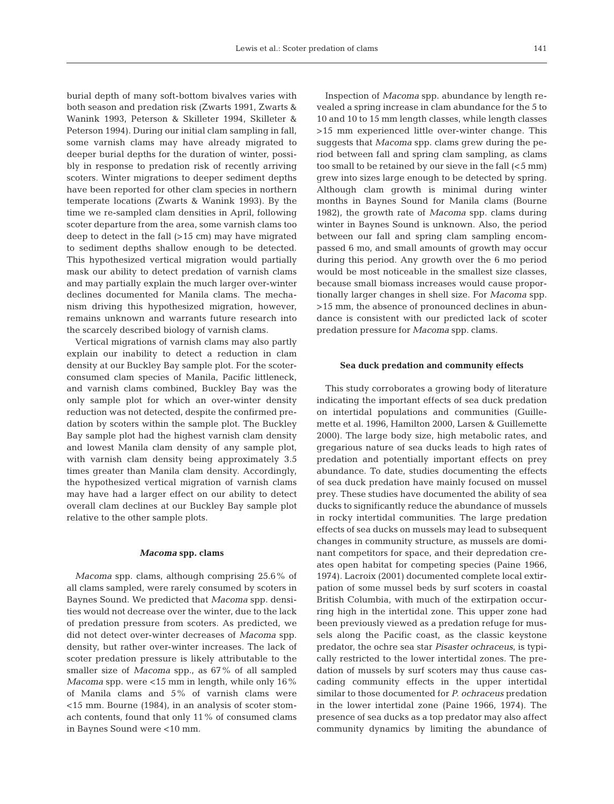burial depth of many soft-bottom bivalves varies with both season and predation risk (Zwarts 1991, Zwarts & Wanink 1993, Peterson & Skilleter 1994, Skilleter & Peterson 1994). During our initial clam sampling in fall, some varnish clams may have already migrated to deeper burial depths for the duration of winter, possibly in response to predation risk of recently arriving scoters. Winter migrations to deeper sediment depths have been reported for other clam species in northern temperate locations (Zwarts & Wanink 1993). By the time we re-sampled clam densities in April, following scoter departure from the area, some varnish clams too deep to detect in the fall (>15 cm) may have migrated to sediment depths shallow enough to be detected. This hypothesized vertical migration would partially mask our ability to detect predation of varnish clams and may partially explain the much larger over-winter declines documented for Manila clams. The mechanism driving this hypothesized migration, however, remains unknown and warrants future research into the scarcely described biology of varnish clams.

Vertical migrations of varnish clams may also partly explain our inability to detect a reduction in clam density at our Buckley Bay sample plot. For the scoterconsumed clam species of Manila, Pacific littleneck, and varnish clams combined, Buckley Bay was the only sample plot for which an over-winter density reduction was not detected, despite the confirmed predation by scoters within the sample plot. The Buckley Bay sample plot had the highest varnish clam density and lowest Manila clam density of any sample plot, with varnish clam density being approximately 3.5 times greater than Manila clam density. Accordingly, the hypothesized vertical migration of varnish clams may have had a larger effect on our ability to detect overall clam declines at our Buckley Bay sample plot relative to the other sample plots.

#### *Macoma* **spp. clams**

*Macoma* spp. clams, although comprising 25.6% of all clams sampled, were rarely consumed by scoters in Baynes Sound. We predicted that *Macoma* spp. densities would not decrease over the winter, due to the lack of predation pressure from scoters. As predicted, we did not detect over-winter decreases of *Macoma* spp. density, but rather over-winter increases. The lack of scoter predation pressure is likely attributable to the smaller size of *Macoma* spp., as 67% of all sampled *Macoma* spp. were <15 mm in length, while only 16% of Manila clams and 5% of varnish clams were <15 mm. Bourne (1984), in an analysis of scoter stomach contents, found that only 11% of consumed clams in Baynes Sound were <10 mm.

Inspection of *Macoma* spp. abundance by length revealed a spring increase in clam abundance for the 5 to 10 and 10 to 15 mm length classes, while length classes >15 mm experienced little over-winter change. This suggests that *Macoma* spp. clams grew during the period between fall and spring clam sampling, as clams too small to be retained by our sieve in the fall (<5 mm) grew into sizes large enough to be detected by spring. Although clam growth is minimal during winter months in Baynes Sound for Manila clams (Bourne 1982), the growth rate of *Macoma* spp. clams during winter in Baynes Sound is unknown. Also, the period between our fall and spring clam sampling encompassed 6 mo, and small amounts of growth may occur during this period. Any growth over the 6 mo period would be most noticeable in the smallest size classes, because small biomass increases would cause proportionally larger changes in shell size. For *Macoma* spp. >15 mm, the absence of pronounced declines in abundance is consistent with our predicted lack of scoter predation pressure for *Macoma* spp. clams.

## **Sea duck predation and community effects**

This study corroborates a growing body of literature indicating the important effects of sea duck predation on intertidal populations and communities (Guillemette et al. 1996, Hamilton 2000, Larsen & Guillemette 2000). The large body size, high metabolic rates, and gregarious nature of sea ducks leads to high rates of predation and potentially important effects on prey abundance. To date, studies documenting the effects of sea duck predation have mainly focused on mussel prey. These studies have documented the ability of sea ducks to significantly reduce the abundance of mussels in rocky intertidal communities. The large predation effects of sea ducks on mussels may lead to subsequent changes in community structure, as mussels are dominant competitors for space, and their depredation creates open habitat for competing species (Paine 1966, 1974). Lacroix (2001) documented complete local extirpation of some mussel beds by surf scoters in coastal British Columbia, with much of the extirpation occurring high in the intertidal zone. This upper zone had been previously viewed as a predation refuge for mussels along the Pacific coast, as the classic keystone predator, the ochre sea star *Pisaster ochraceus*, is typically restricted to the lower intertidal zones. The predation of mussels by surf scoters may thus cause cascading community effects in the upper intertidal similar to those documented for *P. ochraceus* predation in the lower intertidal zone (Paine 1966, 1974). The presence of sea ducks as a top predator may also affect community dynamics by limiting the abundance of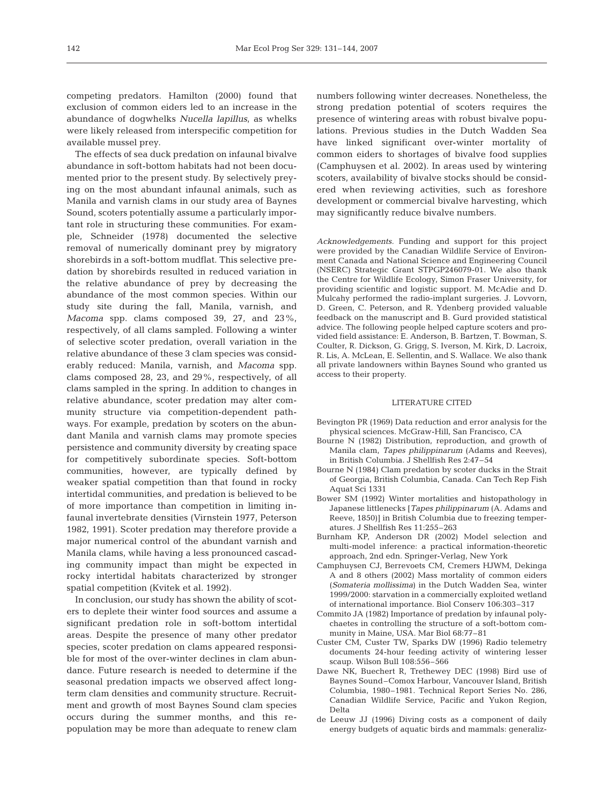competing predators. Hamilton (2000) found that exclusion of common eiders led to an increase in the abundance of dogwhelks *Nucella lapillus*, as whelks were likely released from interspecific competition for available mussel prey.

The effects of sea duck predation on infaunal bivalve abundance in soft-bottom habitats had not been documented prior to the present study. By selectively preying on the most abundant infaunal animals, such as Manila and varnish clams in our study area of Baynes Sound, scoters potentially assume a particularly important role in structuring these communities. For example, Schneider (1978) documented the selective removal of numerically dominant prey by migratory shorebirds in a soft-bottom mudflat. This selective predation by shorebirds resulted in reduced variation in the relative abundance of prey by decreasing the abundance of the most common species. Within our study site during the fall, Manila, varnish, and *Macoma* spp. clams composed 39, 27, and 23%, respectively, of all clams sampled. Following a winter of selective scoter predation, overall variation in the relative abundance of these 3 clam species was considerably reduced: Manila, varnish, and *Macoma* spp. clams composed 28, 23, and 29%, respectively, of all clams sampled in the spring. In addition to changes in relative abundance, scoter predation may alter community structure via competition-dependent pathways. For example, predation by scoters on the abundant Manila and varnish clams may promote species persistence and community diversity by creating space for competitively subordinate species. Soft-bottom communities, however, are typically defined by weaker spatial competition than that found in rocky intertidal communities, and predation is believed to be of more importance than competition in limiting infaunal invertebrate densities (Virnstein 1977, Peterson 1982, 1991). Scoter predation may therefore provide a major numerical control of the abundant varnish and Manila clams, while having a less pronounced cascading community impact than might be expected in rocky intertidal habitats characterized by stronger spatial competition (Kvitek et al. 1992).

In conclusion, our study has shown the ability of scoters to deplete their winter food sources and assume a significant predation role in soft-bottom intertidal areas. Despite the presence of many other predator species, scoter predation on clams appeared responsible for most of the over-winter declines in clam abundance. Future research is needed to determine if the seasonal predation impacts we observed affect longterm clam densities and community structure. Recruitment and growth of most Baynes Sound clam species occurs during the summer months, and this repopulation may be more than adequate to renew clam numbers following winter decreases. Nonetheless, the strong predation potential of scoters requires the presence of wintering areas with robust bivalve populations. Previous studies in the Dutch Wadden Sea have linked significant over-winter mortality of common eiders to shortages of bivalve food supplies (Camphuysen et al. 2002). In areas used by wintering scoters, availability of bivalve stocks should be considered when reviewing activities, such as foreshore development or commercial bivalve harvesting, which may significantly reduce bivalve numbers.

*Acknowledgements.* Funding and support for this project were provided by the Canadian Wildlife Service of Environment Canada and National Science and Engineering Council (NSERC) Strategic Grant STPGP246079-01. We also thank the Centre for Wildlife Ecology, Simon Fraser University, for providing scientific and logistic support. M. McAdie and D. Mulcahy performed the radio-implant surgeries. J. Lovvorn, D. Green, C. Peterson, and R. Ydenberg provided valuable feedback on the manuscript and B. Gurd provided statistical advice. The following people helped capture scoters and provided field assistance: E. Anderson, B. Bartzen, T. Bowman, S. Coulter, R. Dickson, G. Grigg, S. Iverson, M. Kirk, D. Lacroix, R. Lis, A. McLean, E. Sellentin, and S. Wallace. We also thank all private landowners within Baynes Sound who granted us access to their property.

## LITERATURE CITED

- Bevington PR (1969) Data reduction and error analysis for the physical sciences. McGraw-Hill, San Francisco, CA
- Bourne N (1982) Distribution, reproduction, and growth of Manila clam, *Tapes philippinarum* (Adams and Reeves), in British Columbia. J Shellfish Res 2:47–54
- Bourne N (1984) Clam predation by scoter ducks in the Strait of Georgia, British Columbia, Canada. Can Tech Rep Fish Aquat Sci 1331
- Bower SM (1992) Winter mortalities and histopathology in Japanese littlenecks [*Tapes philippinarum* (A. Adams and Reeve, 1850)] in British Columbia due to freezing temperatures. J Shellfish Res 11:255–263
- Burnham KP, Anderson DR (2002) Model selection and multi-model inference: a practical information-theoretic approach, 2nd edn. Springer-Verlag, New York
- Camphuysen CJ, Berrevoets CM, Cremers HJWM, Dekinga A and 8 others (2002) Mass mortality of common eiders (*Somateria mollissima*) in the Dutch Wadden Sea, winter 1999/2000: starvation in a commercially exploited wetland of international importance. Biol Conserv 106:303–317
- Commito JA (1982) Importance of predation by infaunal polychaetes in controlling the structure of a soft-bottom community in Maine, USA. Mar Biol 68:77–81
- Custer CM, Custer TW, Sparks DW (1996) Radio telemetry documents 24-hour feeding activity of wintering lesser scaup. Wilson Bull 108:556–566
- Dawe NK, Buechert R, Trethewey DEC (1998) Bird use of Baynes Sound–Comox Harbour, Vancouver Island, British Columbia, 1980–1981. Technical Report Series No. 286, Canadian Wildlife Service, Pacific and Yukon Region, Delta
- de Leeuw JJ (1996) Diving costs as a component of daily energy budgets of aquatic birds and mammals: generaliz-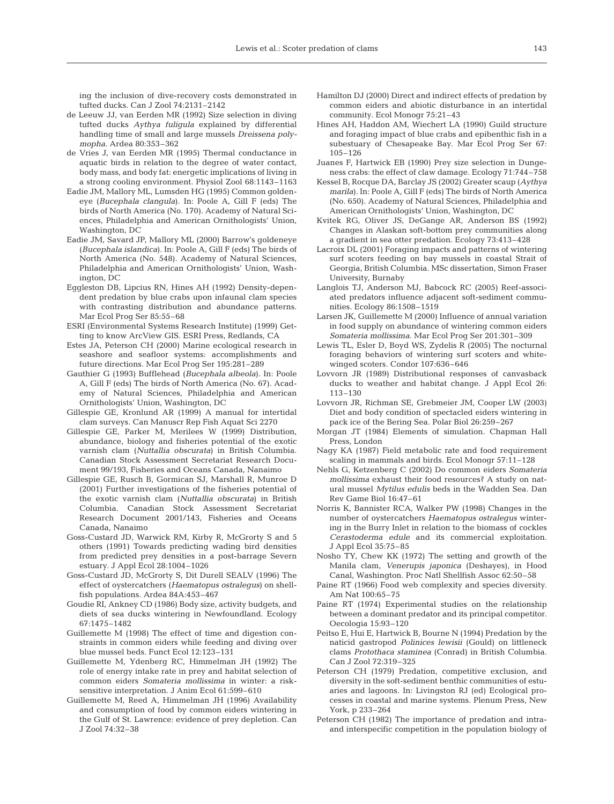ing the inclusion of dive-recovery costs demonstrated in tufted ducks. Can J Zool 74:2131–2142

- de Leeuw JJ, van Eerden MR (1992) Size selection in diving tufted ducks *Aythya fuligula* explained by differential handling time of small and large mussels *Dreissena polymopha*. Ardea 80:353–362
- de Vries J, van Eerden MR (1995) Thermal conductance in aquatic birds in relation to the degree of water contact, body mass, and body fat: energetic implications of living in a strong cooling environment. Physiol Zool 68:1143–1163
- Eadie JM, Mallory ML, Lumsden HG (1995) Common goldeneye (*Bucephala clangula*). In: Poole A, Gill F (eds) The birds of North America (No. 170). Academy of Natural Sciences, Philadelphia and American Ornithologists' Union, Washington, DC
- Eadie JM, Savard JP, Mallory ML (2000) Barrow's goldeneye (*Bucephala islandica*). In: Poole A, Gill F (eds) The birds of North America (No. 548). Academy of Natural Sciences, Philadelphia and American Ornithologists' Union, Washington, DC
- Eggleston DB, Lipcius RN, Hines AH (1992) Density-dependent predation by blue crabs upon infaunal clam species with contrasting distribution and abundance patterns. Mar Ecol Prog Ser 85:55–68
- ESRI (Environmental Systems Research Institute) (1999) Getting to know ArcView GIS. ESRI Press, Redlands, CA
- Estes JA, Peterson CH (2000) Marine ecological research in seashore and seafloor systems: accomplishments and future directions. Mar Ecol Prog Ser 195:281–289
- Gauthier G (1993) Bufflehead (*Bucephala albeola*). In: Poole A, Gill F (eds) The birds of North America (No. 67). Academy of Natural Sciences, Philadelphia and American Ornithologists' Union, Washington, DC
- Gillespie GE, Kronlund AR (1999) A manual for intertidal clam surveys. Can Manuscr Rep Fish Aquat Sci 2270
- Gillespie GE, Parker M, Merilees W (1999) Distribution, abundance, biology and fisheries potential of the exotic varnish clam (*Nuttallia obscurata*) in British Columbia. Canadian Stock Assessment Secretariat Research Document 99/193, Fisheries and Oceans Canada, Nanaimo
- Gillespie GE, Rusch B, Gormican SJ, Marshall R, Munroe D (2001) Further investigations of the fisheries potential of the exotic varnish clam (*Nuttallia obscurata*) in British Columbia. Canadian Stock Assessment Secretariat Research Document 2001/143, Fisheries and Oceans Canada, Nanaimo
- Goss-Custard JD, Warwick RM, Kirby R, McGrorty S and 5 others (1991) Towards predicting wading bird densities from predicted prey densities in a post-barrage Severn estuary. J Appl Ecol 28:1004–1026
- Goss-Custard JD, McGrorty S, Dit Durell SEALV (1996) The effect of oystercatchers (*Haematopus ostralegus*) on shellfish populations. Ardea 84A:453–467
- Goudie RI, Ankney CD (1986) Body size, activity budgets, and diets of sea ducks wintering in Newfoundland. Ecology 67:1475–1482
- Guillemette M (1998) The effect of time and digestion constraints in common eiders while feeding and diving over blue mussel beds. Funct Ecol 12:123–131
- Guillemette M, Ydenberg RC, Himmelman JH (1992) The role of energy intake rate in prey and habitat selection of common eiders *Somateria mollissima* in winter: a risksensitive interpretation. J Anim Ecol 61:599–610
- Guillemette M, Reed A, Himmelman JH (1996) Availability and consumption of food by common eiders wintering in the Gulf of St. Lawrence: evidence of prey depletion. Can J Zool 74:32–38
- Hamilton DJ (2000) Direct and indirect effects of predation by common eiders and abiotic disturbance in an intertidal community. Ecol Monogr 75:21–43
- Hines AH, Haddon AM, Wiechert LA (1990) Guild structure and foraging impact of blue crabs and epibenthic fish in a subestuary of Chesapeake Bay. Mar Ecol Prog Ser 67: 105–126
- Juanes F, Hartwick EB (1990) Prey size selection in Dungeness crabs: the effect of claw damage. Ecology 71:744–758
- Kessel B, Rocque DA, Barclay JS (2002) Greater scaup (*Aythya marila*). In: Poole A, Gill F (eds) The birds of North America (No. 650). Academy of Natural Sciences, Philadelphia and American Ornithologists' Union, Washington, DC
- Kvitek RG, Oliver JS, DeGange AR, Anderson BS (1992) Changes in Alaskan soft-bottom prey communities along a gradient in sea otter predation. Ecology 73:413–428
- Lacroix DL (2001) Foraging impacts and patterns of wintering surf scoters feeding on bay mussels in coastal Strait of Georgia, British Columbia. MSc dissertation, Simon Fraser University, Burnaby
- Langlois TJ, Anderson MJ, Babcock RC (2005) Reef-associated predators influence adjacent soft-sediment communities. Ecology 86:1508–1519
- Larsen JK, Guillemette M (2000) Influence of annual variation in food supply on abundance of wintering common eiders *Somateria mollissima*. Mar Ecol Prog Ser 201:301–309
- Lewis TL, Esler D, Boyd WS, Zydelis R (2005) The nocturnal foraging behaviors of wintering surf scoters and whitewinged scoters. Condor 107:636–646
- Lovvorn JR (1989) Distributional responses of canvasback ducks to weather and habitat change. J Appl Ecol 26: 113–130
- Lovvorn JR, Richman SE, Grebmeier JM, Cooper LW (2003) Diet and body condition of spectacled eiders wintering in pack ice of the Bering Sea. Polar Biol 26:259–267
- Morgan JT (1984) Elements of simulation. Chapman Hall Press, London
- Nagy KA (1987) Field metabolic rate and food requirement scaling in mammals and birds. Ecol Monogr 57:11–128
- Nehls G, Ketzenberg C (2002) Do common eiders *Somateria mollissima* exhaust their food resources? A study on natural mussel *Mytilus edulis* beds in the Wadden Sea. Dan Rev Game Biol 16:47–61
- Norris K, Bannister RCA, Walker PW (1998) Changes in the number of oystercatchers *Haematopus ostralegus* wintering in the Burry Inlet in relation to the biomass of cockles *Cerastoderma edule* and its commercial exploitation. J Appl Ecol 35:75–85
- Nosho TY, Chew KK (1972) The setting and growth of the Manila clam, *Venerupis japonica* (Deshayes), in Hood Canal, Washington. Proc Natl Shellfish Assoc 62:50–58
- Paine RT (1966) Food web complexity and species diversity. Am Nat 100:65–75
- Paine RT (1974) Experimental studies on the relationship between a dominant predator and its principal competitor. Oecologia 15:93–120
- Peitso E, Hui E, Hartwick B, Bourne N (1994) Predation by the naticid gastropod *Polinices lewisii* (Gould) on littleneck clams *Protothaca staminea* (Conrad) in British Columbia. Can J Zool 72:319–325
- Peterson CH (1979) Predation, competitive exclusion, and diversity in the soft-sediment benthic communities of estuaries and lagoons. In: Livingston RJ (ed) Ecological processes in coastal and marine systems. Plenum Press, New York, p 233–264
- Peterson CH (1982) The importance of predation and intraand interspecific competition in the population biology of